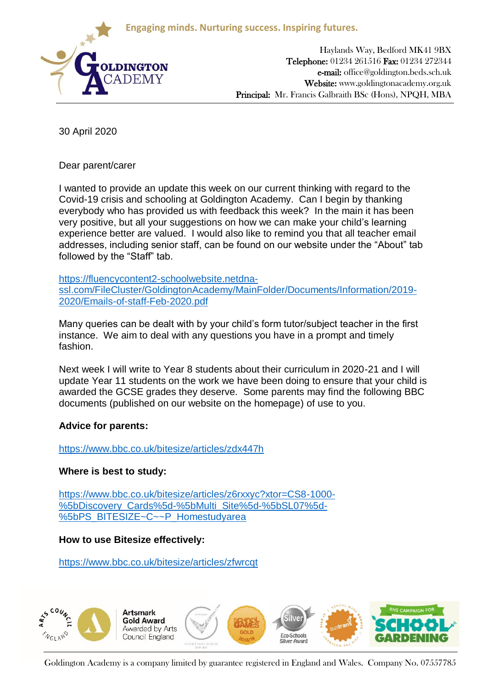**Engaging minds. Nurturing success. Inspiring futures.**



Haylands Way, Bedford MK41 9BX Telephone: 01234 261516 Fax: 01234 272344 e-mail: office@goldington.beds.sch.uk Website: www.goldingtonacademy.org.uk Principal: Mr. Francis Galbraith BSc (Hons), NPQH, MBA

30 April 2020

Dear parent/carer

I wanted to provide an update this week on our current thinking with regard to the Covid-19 crisis and schooling at Goldington Academy. Can I begin by thanking everybody who has provided us with feedback this week? In the main it has been very positive, but all your suggestions on how we can make your child's learning experience better are valued. I would also like to remind you that all teacher email addresses, including senior staff, can be found on our website under the "About" tab followed by the "Staff" tab.

[https://fluencycontent2-schoolwebsite.netdna](https://fluencycontent2-schoolwebsite.netdna-ssl.com/FileCluster/GoldingtonAcademy/MainFolder/Documents/Information/2019-2020/Emails-of-staff-Feb-2020.pdf)[ssl.com/FileCluster/GoldingtonAcademy/MainFolder/Documents/Information/2019-](https://fluencycontent2-schoolwebsite.netdna-ssl.com/FileCluster/GoldingtonAcademy/MainFolder/Documents/Information/2019-2020/Emails-of-staff-Feb-2020.pdf) [2020/Emails-of-staff-Feb-2020.pdf](https://fluencycontent2-schoolwebsite.netdna-ssl.com/FileCluster/GoldingtonAcademy/MainFolder/Documents/Information/2019-2020/Emails-of-staff-Feb-2020.pdf)

Many queries can be dealt with by your child's form tutor/subject teacher in the first instance. We aim to deal with any questions you have in a prompt and timely fashion.

Next week I will write to Year 8 students about their curriculum in 2020-21 and I will update Year 11 students on the work we have been doing to ensure that your child is awarded the GCSE grades they deserve. Some parents may find the following BBC documents (published on our website on the homepage) of use to you.

## **Advice for parents:**

<https://www.bbc.co.uk/bitesize/articles/zdx447h>

## **Where is best to study:**

[https://www.bbc.co.uk/bitesize/articles/z6rxxyc?xtor=CS8-1000-](https://www.bbc.co.uk/bitesize/articles/z6rxxyc?xtor=CS8-1000-%5bDiscovery_Cards%5d-%5bMulti_Site%5d-%5bSL07%5d-%5bPS_BITESIZE~C~~P_Homestudyarea) [%5bDiscovery\\_Cards%5d-%5bMulti\\_Site%5d-%5bSL07%5d-](https://www.bbc.co.uk/bitesize/articles/z6rxxyc?xtor=CS8-1000-%5bDiscovery_Cards%5d-%5bMulti_Site%5d-%5bSL07%5d-%5bPS_BITESIZE~C~~P_Homestudyarea) [%5bPS\\_BITESIZE~C~~P\\_Homestudyarea](https://www.bbc.co.uk/bitesize/articles/z6rxxyc?xtor=CS8-1000-%5bDiscovery_Cards%5d-%5bMulti_Site%5d-%5bSL07%5d-%5bPS_BITESIZE~C~~P_Homestudyarea)

## **How to use Bitesize effectively:**

<https://www.bbc.co.uk/bitesize/articles/zfwrcqt>



Goldington Academy is a company limited by guarantee registered in England and Wales. Company No. 07557785